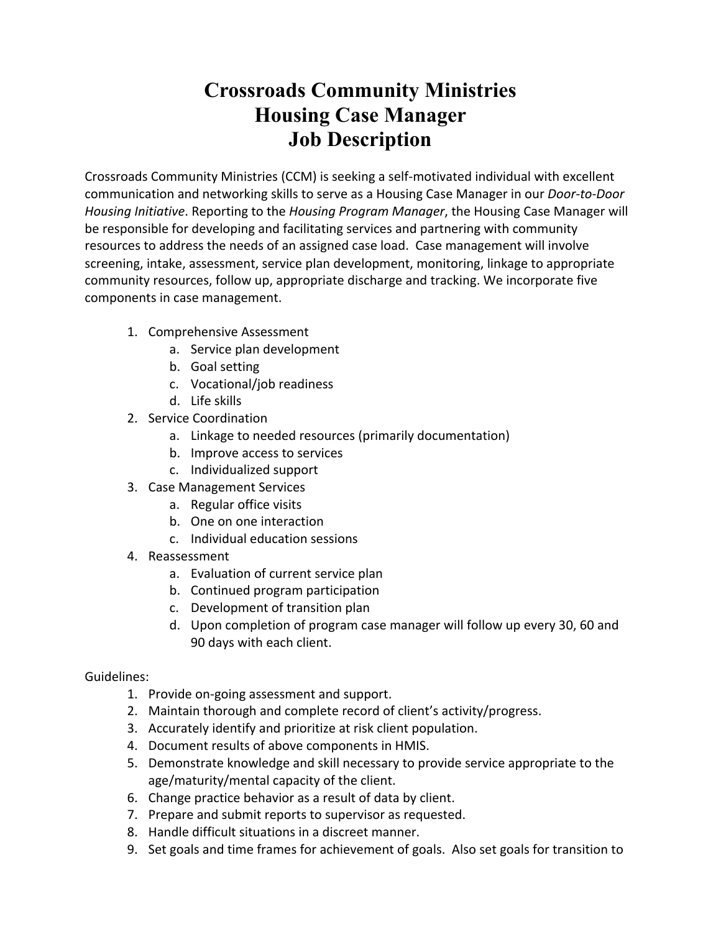# **Crossroads Community Ministries Housing Case Manager Job Description**

Crossroads Community Ministries (CCM) is seeking a self-motivated individual with excellent communication and networking skills to serve as a Housing Case Manager in our *Door-to-Door Housing Initiative*. Reporting to the *Housing Program Manager*, the Housing Case Manager will be responsible for developing and facilitating services and partnering with community resources to address the needs of an assigned case load. Case management will involve screening, intake, assessment, service plan development, monitoring, linkage to appropriate community resources, follow up, appropriate discharge and tracking. We incorporate five components in case management.

- 1. Comprehensive Assessment
	- a. Service plan development
	- b. Goal setting
	- c. Vocational/job readiness
	- d. Life skills
- 2. Service Coordination
	- a. Linkage to needed resources (primarily documentation)
	- b. Improve access to services
	- c. Individualized support
- 3. Case Management Services
	- a. Regular office visits
	- b. One on one interaction
	- c. Individual education sessions
- 4. Reassessment
	- a. Evaluation of current service plan
	- b. Continued program participation
	- c. Development of transition plan
	- d. Upon completion of program case manager will follow up every 30, 60 and 90 days with each client.

# Guidelines:

- 1. Provide on-going assessment and support.
- 2. Maintain thorough and complete record of client's activity/progress.
- 3. Accurately identify and prioritize at risk client population.
- 4. Document results of above components in HMIS.
- 5. Demonstrate knowledge and skill necessary to provide service appropriate to the age/maturity/mental capacity of the client.
- 6. Change practice behavior as a result of data by client.
- 7. Prepare and submit reports to supervisor as requested.
- 8. Handle difficult situations in a discreet manner.
- 9. Set goals and time frames for achievement of goals. Also set goals for transition to